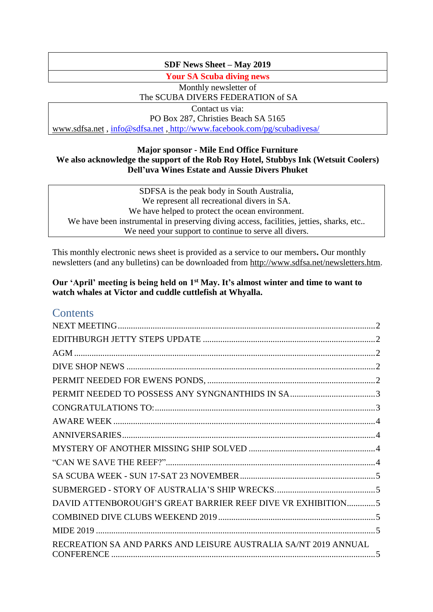# **SDF News Sheet – May 2019**

**Your SA Scuba diving news**

Monthly newsletter of The SCUBA DIVERS FEDERATION of SA

Contact us via: PO Box 287, Christies Beach SA 5165 [www.sdfsa.net](http://www.sdfsa.net/) , [info@sdfsa.net](mailto:info@sdfsa.net) , <http://www.facebook.com/pg/scubadivesa/>

# **Major sponsor - Mile End Office Furniture We also acknowledge the support of the Rob Roy Hotel, Stubbys Ink (Wetsuit Coolers) Dell'uva Wines Estate and Aussie Divers Phuket**

SDFSA is the peak body in South Australia, We represent all recreational divers in SA. We have helped to protect the ocean environment. We have been instrumental in preserving diving access, facilities, jetties, sharks, etc.. We need your support to continue to serve all divers.

This monthly electronic news sheet is provided as a service to our members**.** Our monthly newsletters (and any bulletins) can be downloaded from [http://www.sdfsa.net/newsletters.htm.](http://www.sdfsa.net/newsletters.htm)

# **Our 'April' meeting is being held on 1st May. It's almost winter and time to want to watch whales at Victor and cuddle cuttlefish at Whyalla.**

# **Contents**

| DAVID ATTENBOROUGH'S GREAT BARRIER REEF DIVE VR EXHIBITION5     |  |
|-----------------------------------------------------------------|--|
|                                                                 |  |
|                                                                 |  |
| RECREATION SA AND PARKS AND LEISURE AUSTRALIA SA/NT 2019 ANNUAL |  |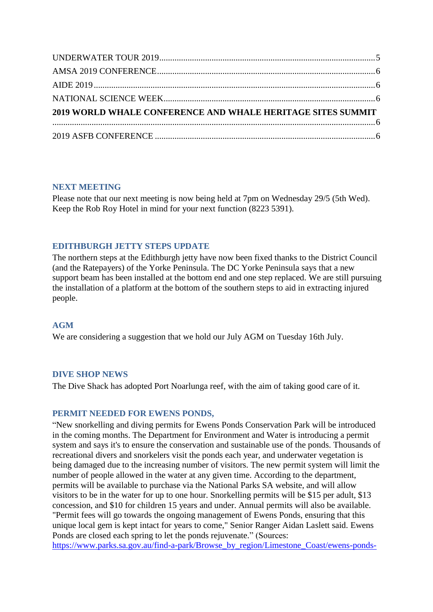| 2019 WORLD WHALE CONFERENCE AND WHALE HERITAGE SITES SUMMIT |  |
|-------------------------------------------------------------|--|
|                                                             |  |
|                                                             |  |

# <span id="page-1-0"></span>**NEXT MEETING**

Please note that our next meeting is now being held at 7pm on Wednesday 29/5 (5th Wed). Keep the Rob Roy Hotel in mind for your next function (8223 5391).

# <span id="page-1-1"></span>**EDITHBURGH JETTY STEPS UPDATE**

The northern steps at the Edithburgh jetty have now been fixed thanks to the District Council (and the Ratepayers) of the Yorke Peninsula. The DC Yorke Peninsula says that a new support beam has been installed at the bottom end and one step replaced. We are still pursuing the installation of a platform at the bottom of the southern steps to aid in extracting injured people.

# <span id="page-1-2"></span>**AGM**

We are considering a suggestion that we hold our July AGM on Tuesday 16th July.

# <span id="page-1-3"></span>**DIVE SHOP NEWS**

<span id="page-1-4"></span>The Dive Shack has adopted Port Noarlunga reef, with the aim of taking good care of it.

# **PERMIT NEEDED FOR EWENS PONDS,**

"New snorkelling and diving permits for Ewens Ponds Conservation Park will be introduced in the coming months. The Department for Environment and Water is introducing a permit system and says it's to ensure the conservation and sustainable use of the ponds. Thousands of recreational divers and snorkelers visit the ponds each year, and underwater vegetation is being damaged due to the increasing number of visitors. The new permit system will limit the number of people allowed in the water at any given time. According to the department, permits will be available to purchase via the National Parks SA website, and will allow visitors to be in the water for up to one hour. Snorkelling permits will be \$15 per adult, \$13 concession, and \$10 for children 15 years and under. Annual permits will also be available. "Permit fees will go towards the ongoing management of Ewens Ponds, ensuring that this unique local gem is kept intact for years to come," Senior Ranger Aidan Laslett said. Ewens Ponds are closed each spring to let the ponds rejuvenate." (Sources:

[https://www.parks.sa.gov.au/find-a-park/Browse\\_by\\_region/Limestone\\_Coast/ewens-ponds-](https://www.parks.sa.gov.au/find-a-park/Browse_by_region/Limestone_Coast/ewens-ponds-conservation-park#see-and-do)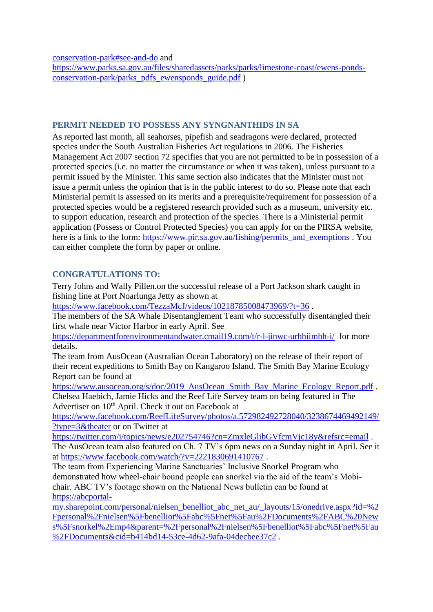[conservation-park#see-and-do](https://www.parks.sa.gov.au/find-a-park/Browse_by_region/Limestone_Coast/ewens-ponds-conservation-park#see-and-do) and

[https://www.parks.sa.gov.au/files/sharedassets/parks/parks/limestone-coast/ewens-ponds](https://www.parks.sa.gov.au/files/sharedassets/parks/parks/limestone-coast/ewens-ponds-conservation-park/parks_pdfs_ewensponds_guide.pdf)[conservation-park/parks\\_pdfs\\_ewensponds\\_guide.pdf](https://www.parks.sa.gov.au/files/sharedassets/parks/parks/limestone-coast/ewens-ponds-conservation-park/parks_pdfs_ewensponds_guide.pdf) )

# <span id="page-2-0"></span>**PERMIT NEEDED TO POSSESS ANY SYNGNANTHIDS IN SA**

As reported last month, all seahorses, pipefish and seadragons were declared, protected species under the South Australian Fisheries Act regulations in 2006. The Fisheries Management Act 2007 section 72 specifies that you are not permitted to be in possession of a protected species (i.e. no matter the circumstance or when it was taken), unless pursuant to a permit issued by the Minister. This same section also indicates that the Minister must not issue a permit unless the opinion that is in the public interest to do so. Please note that each Ministerial permit is assessed on its merits and a prerequisite/requirement for possession of a protected species would be a registered research provided such as a museum, university etc. to support education, research and protection of the species. There is a Ministerial permit application (Possess or Control Protected Species) you can apply for on the PIRSA website, here is a link to the form: [https://www.pir.sa.gov.au/fishing/permits\\_and\\_exemptions](https://www.pir.sa.gov.au/fishing/permits_and_exemptions) . You can either complete the form by paper or online.

# <span id="page-2-1"></span>**CONGRATULATIONS TO:**

Terry Johns and Wally Pillen.on the successful release of a Port Jackson shark caught in fishing line at Port Noarlunga Jetty as shown at

<https://www.facebook.com/TezzaMcJ/videos/10218785008473969/?t=36>.

The members of the SA Whale Disentanglement Team who successfully disentangled their first whale near Victor Harbor in early April. See

<https://departmentforenvironmentandwater.cmail19.com/t/r-l-jinwc-urhhiimhh-i/> [f](https://departmentforenvironmentandwater.cmail19.com/t/r-l-jinwc-urhhiimhh-i/)or more details.

The team from AusOcean (Australian Ocean Laboratory) on the release of their report of their recent expeditions to Smith Bay on Kangaroo Island. The Smith Bay Marine Ecology Report can be found at

[https://www.ausocean.org/s/doc/2019\\_AusOcean\\_Smith\\_Bay\\_Marine\\_Ecology\\_Report.pdf](https://www.ausocean.org/s/doc/2019_AusOcean_Smith_Bay_Marine_Ecology_Report.pdf) . Chelsea Haebich, Jamie Hicks and the Reef Life Survey team on being featured in The

Advertiser on 10<sup>th</sup> April. Check it out on Facebook at

[https://www.facebook.com/ReefLifeSurvey/photos/a.572982492728040/3238674469492149/](https://www.facebook.com/ReefLifeSurvey/photos/a.572982492728040/3238674469492149/?type=3&theater) [?type=3&theater](https://www.facebook.com/ReefLifeSurvey/photos/a.572982492728040/3238674469492149/?type=3&theater) or on Twitter at

<https://twitter.com/i/topics/news/e202754746?cn=ZmxleGlibGVfcmVjc18y&refsrc=email>.

The AusOcean team also featured on Ch. 7 TV's 6pm news on a Sunday night in April. See it at <https://www.facebook.com/watch/?v=2221830691410767> .

The team from Experiencing Marine Sanctuaries' Inclusive Snorkel Program who demonstrated how wheel-chair bound people can snorkel via the aid of the team's Mobichair. ABC TV's footage shown on the National News bulletin can be found at [https://abcportal-](https://abcportal-my.sharepoint.com/personal/nielsen_benelliot_abc_net_au/_layouts/15/onedrive.aspx?id=%2Fpersonal%2Fnielsen%5Fbenelliot%5Fabc%5Fnet%5Fau%2FDocuments%2FABC%20News%5Fsnorkel%2Emp4&parent=%2Fpersonal%2Fnielsen%5Fbenelliot%5Fabc%5Fnet%5Fau%2FDocuments&cid=b414bd14-53ce-4d62-9afa-04decbee37c2)

[my.sharepoint.com/personal/nielsen\\_benelliot\\_abc\\_net\\_au/\\_layouts/15/onedrive.aspx?id=%2](https://abcportal-my.sharepoint.com/personal/nielsen_benelliot_abc_net_au/_layouts/15/onedrive.aspx?id=%2Fpersonal%2Fnielsen%5Fbenelliot%5Fabc%5Fnet%5Fau%2FDocuments%2FABC%20News%5Fsnorkel%2Emp4&parent=%2Fpersonal%2Fnielsen%5Fbenelliot%5Fabc%5Fnet%5Fau%2FDocuments&cid=b414bd14-53ce-4d62-9afa-04decbee37c2) [Fpersonal%2Fnielsen%5Fbenelliot%5Fabc%5Fnet%5Fau%2FDocuments%2FABC%20New](https://abcportal-my.sharepoint.com/personal/nielsen_benelliot_abc_net_au/_layouts/15/onedrive.aspx?id=%2Fpersonal%2Fnielsen%5Fbenelliot%5Fabc%5Fnet%5Fau%2FDocuments%2FABC%20News%5Fsnorkel%2Emp4&parent=%2Fpersonal%2Fnielsen%5Fbenelliot%5Fabc%5Fnet%5Fau%2FDocuments&cid=b414bd14-53ce-4d62-9afa-04decbee37c2) [s%5Fsnorkel%2Emp4&parent=%2Fpersonal%2Fnielsen%5Fbenelliot%5Fabc%5Fnet%5Fau](https://abcportal-my.sharepoint.com/personal/nielsen_benelliot_abc_net_au/_layouts/15/onedrive.aspx?id=%2Fpersonal%2Fnielsen%5Fbenelliot%5Fabc%5Fnet%5Fau%2FDocuments%2FABC%20News%5Fsnorkel%2Emp4&parent=%2Fpersonal%2Fnielsen%5Fbenelliot%5Fabc%5Fnet%5Fau%2FDocuments&cid=b414bd14-53ce-4d62-9afa-04decbee37c2) [%2FDocuments&cid=b414bd14-53ce-4d62-9afa-04decbee37c2](https://abcportal-my.sharepoint.com/personal/nielsen_benelliot_abc_net_au/_layouts/15/onedrive.aspx?id=%2Fpersonal%2Fnielsen%5Fbenelliot%5Fabc%5Fnet%5Fau%2FDocuments%2FABC%20News%5Fsnorkel%2Emp4&parent=%2Fpersonal%2Fnielsen%5Fbenelliot%5Fabc%5Fnet%5Fau%2FDocuments&cid=b414bd14-53ce-4d62-9afa-04decbee37c2) .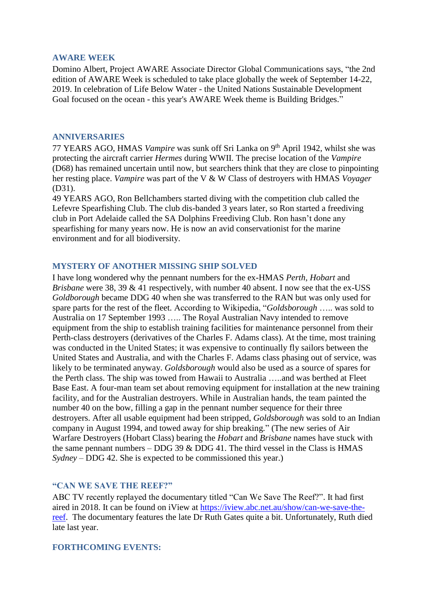#### <span id="page-3-0"></span>**AWARE WEEK**

Domino Albert, Project AWARE Associate Director Global Communications says, "the 2nd edition of AWARE Week is scheduled to take place globally the week of September 14-22, 2019. In celebration of Life Below Water - the United Nations Sustainable Development Goal focused on the ocean - this year's AWARE Week theme is Building Bridges."

## <span id="page-3-1"></span>**ANNIVERSARIES**

77 YEARS AGO, HMAS *Vampire* was sunk off Sri Lanka on 9th April 1942, whilst she was protecting the aircraft carrier *Hermes* during WWII. The precise location of the *Vampire* (D68) has remained uncertain until now, but searchers think that they are close to pinpointing her resting place. *Vampire* was part of the V & W Class of destroyers with HMAS *Voyager* (D31).

49 YEARS AGO, Ron Bellchambers started diving with the competition club called the Lefevre Spearfishing Club. The club dis-banded 3 years later, so Ron started a freediving club in Port Adelaide called the SA Dolphins Freediving Club. Ron hasn't done any spearfishing for many years now. He is now an avid conservationist for the marine environment and for all biodiversity.

# <span id="page-3-2"></span>**MYSTERY OF ANOTHER MISSING SHIP SOLVED**

I have long wondered why the pennant numbers for the ex-HMAS *Perth, Hobart* and *Brisbane* were 38, 39 & 41 respectively, with number 40 absent. I now see that the ex-USS *Goldborough* became DDG 40 when she was transferred to the RAN but was only used for spare parts for the rest of the fleet. According to Wikipedia, "*Goldsborough* ….. was sold to Australia on 17 September 1993 ….. The Royal Australian Navy intended to remove equipment from the ship to establish training facilities for maintenance personnel from their Perth-class destroyers (derivatives of the Charles F. Adams class). At the time, most training was conducted in the United States; it was expensive to continually fly sailors between the United States and Australia, and with the Charles F. Adams class phasing out of service, was likely to be terminated anyway. *Goldsborough* would also be used as a source of spares for the Perth class. The ship was towed from Hawaii to Australia …..and was berthed at Fleet Base East. A four-man team set about removing equipment for installation at the new training facility, and for the Australian destroyers. While in Australian hands, the team painted the number 40 on the bow, filling a gap in the pennant number sequence for their three destroyers. After all usable equipment had been stripped, *Goldsborough* was sold to an Indian company in August 1994, and towed away for ship breaking." (The new series of Air Warfare Destroyers (Hobart Class) bearing the *Hobart* and *Brisbane* names have stuck with the same pennant numbers – DDG 39  $\&$  DDG 41. The third vessel in the Class is HMAS *Sydney –* DDG 42. She is expected to be commissioned this year.)

# <span id="page-3-3"></span>**"CAN WE SAVE THE REEF?"**

ABC TV recently replayed the documentary titled "Can We Save The Reef?". It had first aired in 2018. It can be found on iView at [https://iview.abc.net.au/show/can-we-save-the](https://iview.abc.net.au/show/can-we-save-the-reef)[reef.](https://iview.abc.net.au/show/can-we-save-the-reef) The documentary features the late Dr Ruth Gates quite a bit. Unfortunately, Ruth died late last year.

# **FORTHCOMING EVENTS:**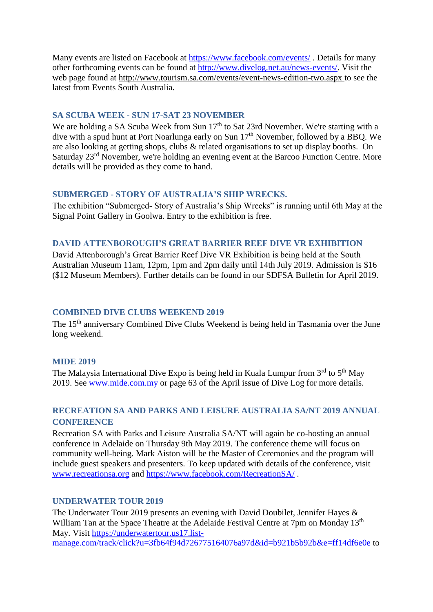Many events are listed on Facebook at<https://www.facebook.com/events/>. Details for many other forthcoming events can be found at [http://www.divelog.net.au/news-events/.](http://www.divelog.net.au/news-events/) Visit the web page found at<http://www.tourism.sa.com/events/event-news-edition-two.aspx> to see the latest from Events South Australia.

# <span id="page-4-0"></span>**SA SCUBA WEEK - SUN 17-SAT 23 NOVEMBER**

We are holding a SA Scuba Week from Sun 17<sup>th</sup> to Sat 23rd November. We're starting with a dive with a spud hunt at Port Noarlunga early on Sun 17<sup>th</sup> November, followed by a BBQ. We are also looking at getting shops, clubs & related organisations to set up display booths. On Saturday 23<sup>rd</sup> November, we're holding an evening event at the Barcoo Function Centre. More details will be provided as they come to hand.

# <span id="page-4-1"></span>**SUBMERGED - STORY OF AUSTRALIA'S SHIP WRECKS.**

The exhibition "Submerged- Story of Australia's Ship Wrecks" is running until 6th May at the Signal Point Gallery in Goolwa. Entry to the exhibition is free.

## <span id="page-4-2"></span>**DAVID ATTENBOROUGH'S GREAT BARRIER REEF DIVE VR EXHIBITION**

David Attenborough's Great Barrier Reef Dive VR Exhibition is being held at the South Australian Museum 11am, 12pm, 1pm and 2pm daily until 14th July 2019. Admission is \$16 (\$12 Museum Members). Further details can be found in our SDFSA Bulletin for April 2019.

# <span id="page-4-3"></span>**COMBINED DIVE CLUBS WEEKEND 2019**

The 15<sup>th</sup> anniversary Combined Dive Clubs Weekend is being held in Tasmania over the June long weekend.

## <span id="page-4-4"></span>**MIDE 2019**

The Malaysia International Dive Expo is being held in Kuala Lumpur from  $3<sup>rd</sup>$  to  $5<sup>th</sup>$  May 2019. See [www.mide.com.my](http://www.mide.com.my/) or page 63 of the April issue of Dive Log for more details.

# <span id="page-4-5"></span>**RECREATION SA AND PARKS AND LEISURE AUSTRALIA SA/NT 2019 ANNUAL CONFERENCE**

Recreation SA with Parks and Leisure Australia SA/NT will again be co-hosting an annual conference in Adelaide on Thursday 9th May 2019. The conference theme will focus on community well-being. Mark Aiston will be the Master of Ceremonies and the program will include guest speakers and presenters. To keep updated with details of the conference, visit [www.recreationsa.org](http://www.recreationsa.org/) and<https://www.facebook.com/RecreationSA/> .

# <span id="page-4-6"></span>**UNDERWATER TOUR 2019**

The Underwater Tour 2019 presents an evening with David Doubilet, Jennifer Hayes & William Tan at the Space Theatre at the Adelaide Festival Centre at 7pm on Monday 13<sup>th</sup> May. Visit [https://underwatertour.us17.list](https://underwatertour.us17.list-manage.com/track/click?u=3fb64f94d726775164076a97d&id=b921b5b92b&e=ff14df6e0e)[manage.com/track/click?u=3fb64f94d726775164076a97d&id=b921b5b92b&e=ff14df6e0e](https://underwatertour.us17.list-manage.com/track/click?u=3fb64f94d726775164076a97d&id=b921b5b92b&e=ff14df6e0e) to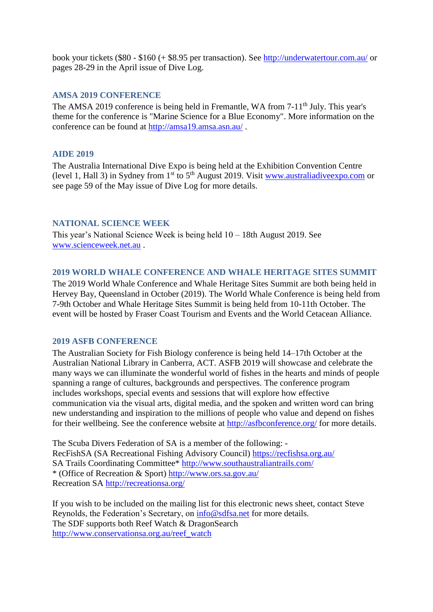book your tickets (\$80 - \$160 (+ \$8.95 per transaction). See<http://underwatertour.com.au/> or pages 28-29 in the April issue of Dive Log.

## <span id="page-5-0"></span>**AMSA 2019 CONFERENCE**

The AMSA 2019 conference is being held in Fremantle, WA from 7-11<sup>th</sup> July. This year's theme for the conference is "Marine Science for a Blue Economy". More information on the conference can be found at<http://amsa19.amsa.asn.au/>.

### <span id="page-5-1"></span>**AIDE 2019**

The Australia International Dive Expo is being held at the Exhibition Convention Centre (level 1, Hall 3) in Sydney from  $1<sup>st</sup>$  to  $5<sup>th</sup>$  August 2019. Visit [www.australiadiveexpo.com](http://www.australiadiveexpo.com/) or see page 59 of the May issue of Dive Log for more details.

# <span id="page-5-2"></span>**NATIONAL SCIENCE WEEK**

This year's National Science Week is being held 10 – 18th August 2019. See [www.scienceweek.net.au](http://www.scienceweek.net.au/) .

### <span id="page-5-3"></span>**2019 WORLD WHALE CONFERENCE AND WHALE HERITAGE SITES SUMMIT**

The 2019 World Whale Conference and Whale Heritage Sites Summit are both being held in Hervey Bay, Queensland in October (2019). The World Whale Conference is being held from 7-9th October and Whale Heritage Sites Summit is being held from 10-11th October. The event will be hosted by Fraser Coast Tourism and Events and the World Cetacean Alliance.

# <span id="page-5-4"></span>**2019 ASFB CONFERENCE**

The Australian Society for Fish Biology conference is being held 14–17th October at the Australian National Library in Canberra, ACT. ASFB 2019 will showcase and celebrate the many ways we can illuminate the wonderful world of fishes in the hearts and minds of people spanning a range of cultures, backgrounds and perspectives. The conference program includes workshops, special events and sessions that will explore how effective communication via the visual arts, digital media, and the spoken and written word can bring new understanding and inspiration to the millions of people who value and depend on fishes for their wellbeing. See the conference website at<http://asfbconference.org/> for more details.

The Scuba Divers Federation of SA is a member of the following: - RecFishSA (SA Recreational Fishing Advisory Council)<https://recfishsa.org.au/> SA Trails Coordinating Committee\*<http://www.southaustraliantrails.com/> \* (Office of Recreation & Sport)<http://www.ors.sa.gov.au/> Recreation SA<http://recreationsa.org/>

If you wish to be included on the mailing list for this electronic news sheet, contact Steve Reynolds, the Federation's Secretary, on [info@sdfsa.net](mailto:info@sdfsa.net) for more details. The SDF supports both Reef Watch & DragonSearch [http://www.conservationsa.org.au/reef\\_watch](http://www.conservationsa.org.au/reef_watch)